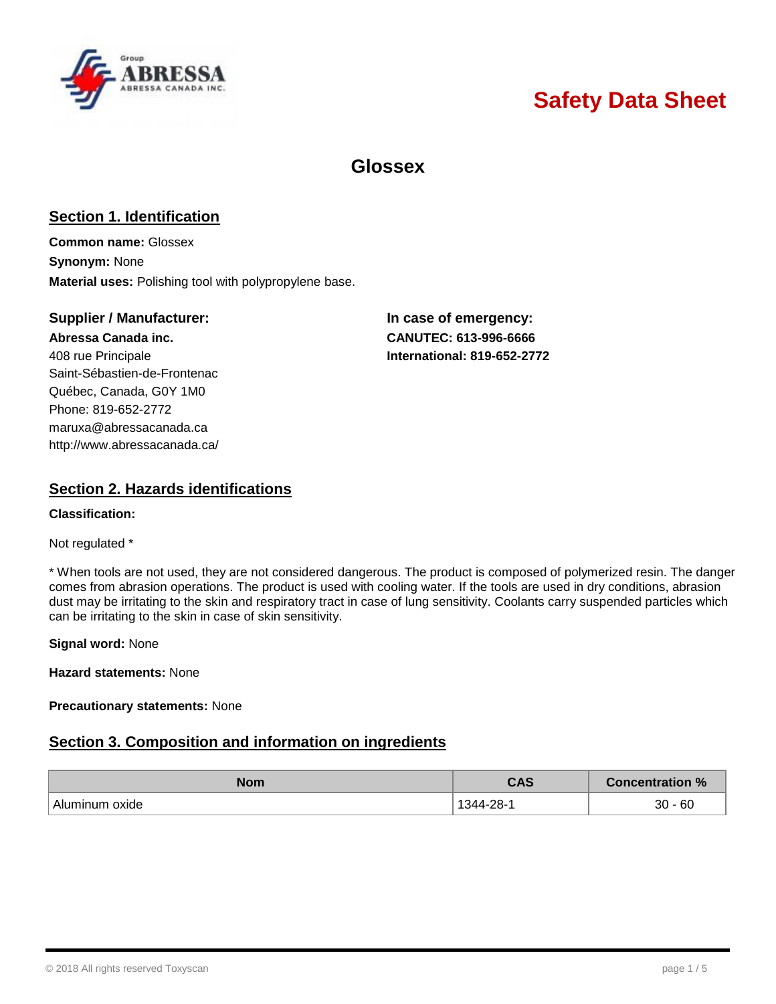

# **Safety Data Sheet**

## **Glossex**

### **Section 1. Identification**

**Common name:** Glossex **Synonym:** None **Material uses:** Polishing tool with polypropylene base.

### **Supplier / Manufacturer: In case of emergency:**

408 rue Principale **International: 819-652-2772** Saint-Sébastien-de-Frontenac Québec, Canada, G0Y 1M0 Phone: 819-652-2772 [maruxa@abressacanada.ca](mailto:maruxa@abressacanada.ca) <http://www.abressacanada.ca/>

**Abressa Canada inc. CANUTEC: 613-996-6666**

### **Section 2. Hazards identifications**

#### **Classification:**

#### Not regulated \*

\* When tools are not used, they are not considered dangerous. The product is composed of polymerized resin. The danger comes from abrasion operations. The product is used with cooling water. If the tools are used in dry conditions, abrasion dust may be irritating to the skin and respiratory tract in case of lung sensitivity. Coolants carry suspended particles which can be irritating to the skin in case of skin sensitivity.

#### **Signal word:** None

**Hazard statements:** None

#### **Precautionary statements:** None

### **Section 3. Composition and information on ingredients**

| <b>Nom</b>           | rne<br>しハつ    | <b>Concentration %</b> |
|----------------------|---------------|------------------------|
| Alur<br>oxide<br>ıın | ററ<br>1 2 4 4 | $-60$<br>30            |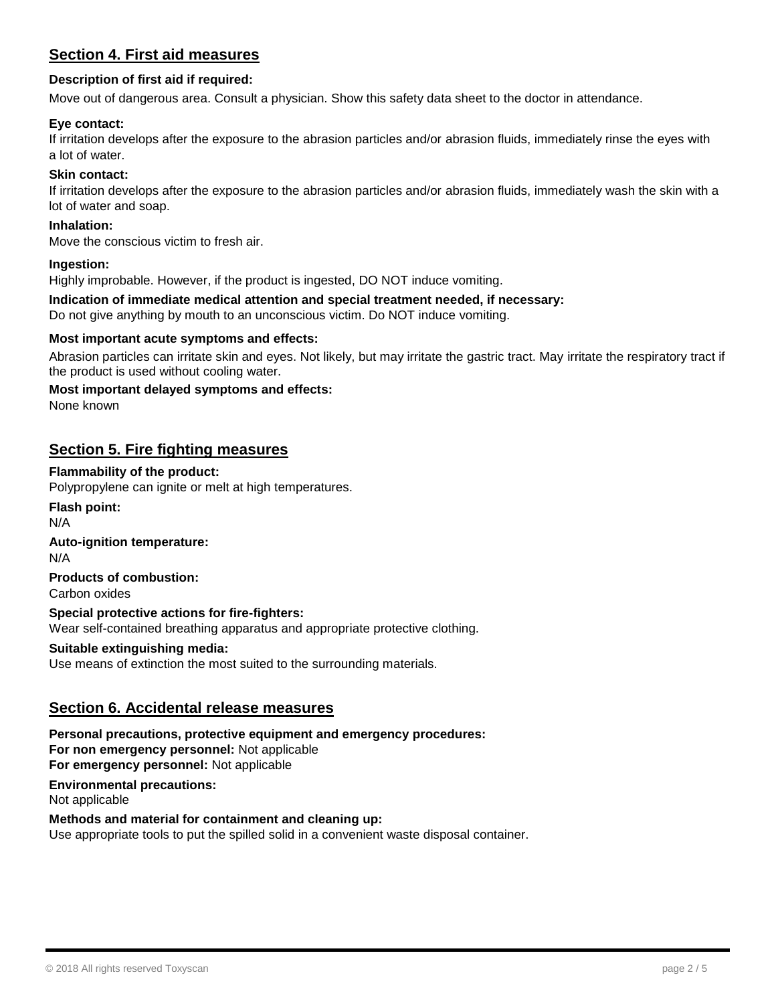### **Section 4. First aid measures**

### **Description of first aid if required:**

Move out of dangerous area. Consult a physician. Show this safety data sheet to the doctor in attendance.

### **Eye contact:**

If irritation develops after the exposure to the abrasion particles and/or abrasion fluids, immediately rinse the eyes with a lot of water.

#### **Skin contact:**

If irritation develops after the exposure to the abrasion particles and/or abrasion fluids, immediately wash the skin with a lot of water and soap.

### **Inhalation:**

Move the conscious victim to fresh air.

#### **Ingestion:**

Highly improbable. However, if the product is ingested, DO NOT induce vomiting.

#### **Indication of immediate medical attention and special treatment needed, if necessary:**

Do not give anything by mouth to an unconscious victim. Do NOT induce vomiting.

#### **Most important acute symptoms and effects:**

Abrasion particles can irritate skin and eyes. Not likely, but may irritate the gastric tract. May irritate the respiratory tract if the product is used without cooling water.

#### **Most important delayed symptoms and effects:**

None known

### **Section 5. Fire fighting measures**

#### **Flammability of the product:**

Polypropylene can ignite or melt at high temperatures.

**Flash point:**

N/A

### **Auto-ignition temperature:**

N/A

### **Products of combustion:**

Carbon oxides

### **Special protective actions for fire-fighters:**

Wear self-contained breathing apparatus and appropriate protective clothing.

### **Suitable extinguishing media:**

Use means of extinction the most suited to the surrounding materials.

### **Section 6. Accidental release measures**

**Personal precautions, protective equipment and emergency procedures: For non emergency personnel:** Not applicable **For emergency personnel:** Not applicable **Environmental precautions:**

Not applicable

#### **Methods and material for containment and cleaning up:**

Use appropriate tools to put the spilled solid in a convenient waste disposal container.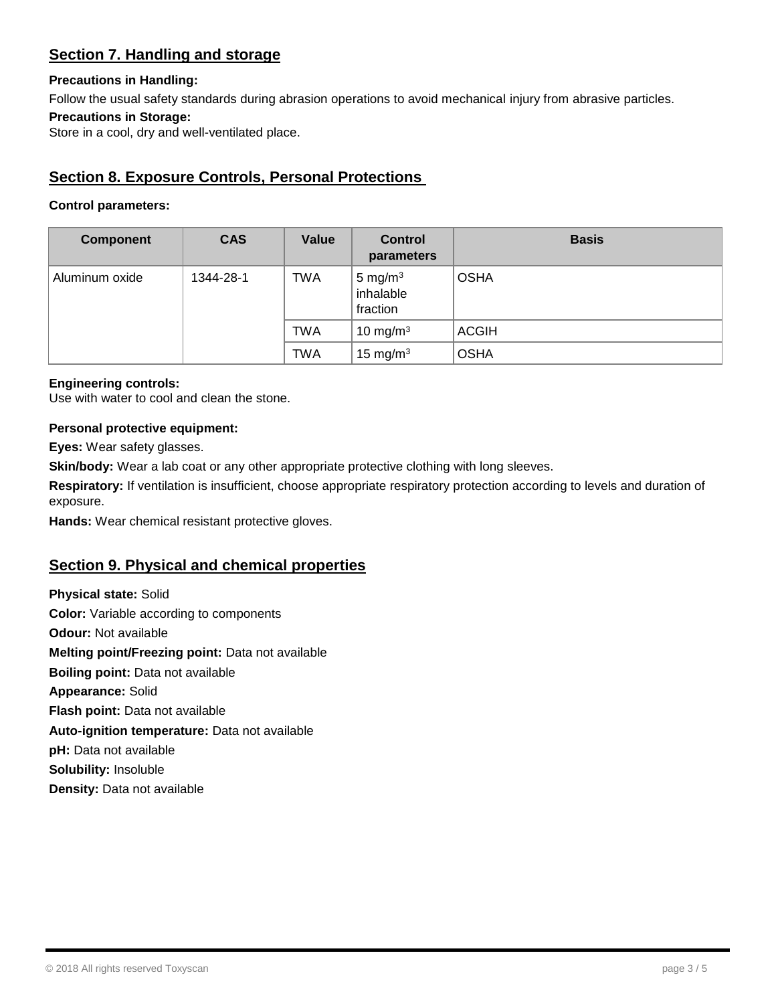### **Section 7. Handling and storage**

### **Precautions in Handling:**

Follow the usual safety standards during abrasion operations to avoid mechanical injury from abrasive particles.

### **Precautions in Storage:**

Store in a cool, dry and well-ventilated place.

### **Section 8. Exposure Controls, Personal Protections**

### **Control parameters:**

| <b>Component</b> | <b>CAS</b> | <b>Value</b> | <b>Control</b><br>parameters        | <b>Basis</b> |
|------------------|------------|--------------|-------------------------------------|--------------|
| Aluminum oxide   | 1344-28-1  | <b>TWA</b>   | 5 mg/m $3$<br>inhalable<br>fraction | <b>OSHA</b>  |
|                  |            | <b>TWA</b>   | 10 mg/m $3$                         | <b>ACGIH</b> |
|                  |            | <b>TWA</b>   | 15 mg/m $3$                         | <b>OSHA</b>  |

### **Engineering controls:**

Use with water to cool and clean the stone.

### **Personal protective equipment:**

**Eyes:** Wear safety glasses.

**Skin/body:** Wear a lab coat or any other appropriate protective clothing with long sleeves.

**Respiratory:** If ventilation is insufficient, choose appropriate respiratory protection according to levels and duration of exposure.

**Hands:** Wear chemical resistant protective gloves.

### **Section 9. Physical and chemical properties**

**Physical state:** Solid **Color:** Variable according to components **Odour:** Not available **Melting point/Freezing point:** Data not available **Boiling point:** Data not available **Appearance:** Solid **Flash point:** Data not available **Auto-ignition temperature:** Data not available **pH:** Data not available **Solubility:** Insoluble **Density:** Data not available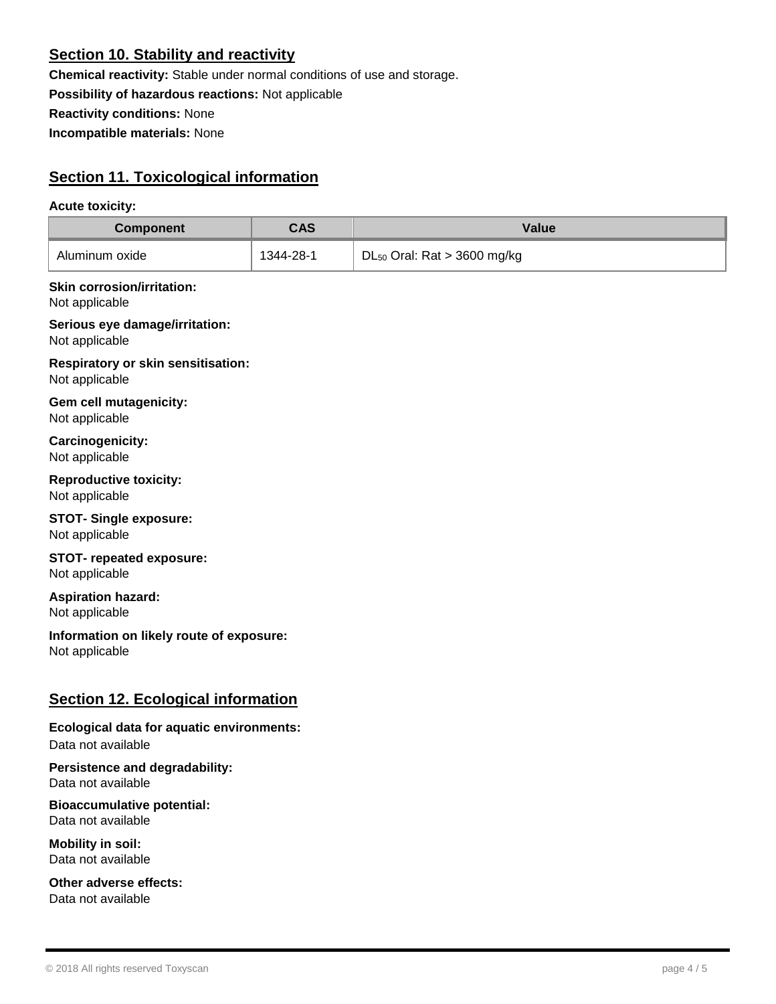### **Section 10. Stability and reactivity**

**Chemical reactivity:** Stable under normal conditions of use and storage. **Possibility of hazardous reactions:** Not applicable **Reactivity conditions:** None **Incompatible materials:** None

### **Section 11. Toxicological information**

### **Acute toxicity:**

| <b>Component</b> | CAS       | Value                            |
|------------------|-----------|----------------------------------|
| Aluminum oxide   | 1344-28-1 | $DL_{50}$ Oral: Rat > 3600 mg/kg |

### **Skin corrosion/irritation:**

Not applicable

**Serious eye damage/irritation:** Not applicable

**Respiratory or skin sensitisation:** Not applicable

**Gem cell mutagenicity:** Not applicable

**Carcinogenicity:** Not applicable

**Reproductive toxicity:** Not applicable

# **STOT- Single exposure:**

Not applicable

### **STOT- repeated exposure:** Not applicable

### **Aspiration hazard:**

Not applicable

**Information on likely route of exposure:** Not applicable

### **Section 12. Ecological information**

### **Ecological data for aquatic environments:** Data not available

**Persistence and degradability:** Data not available

**Bioaccumulative potential:** Data not available

**Mobility in soil:** Data not available

**Other adverse effects:** Data not available